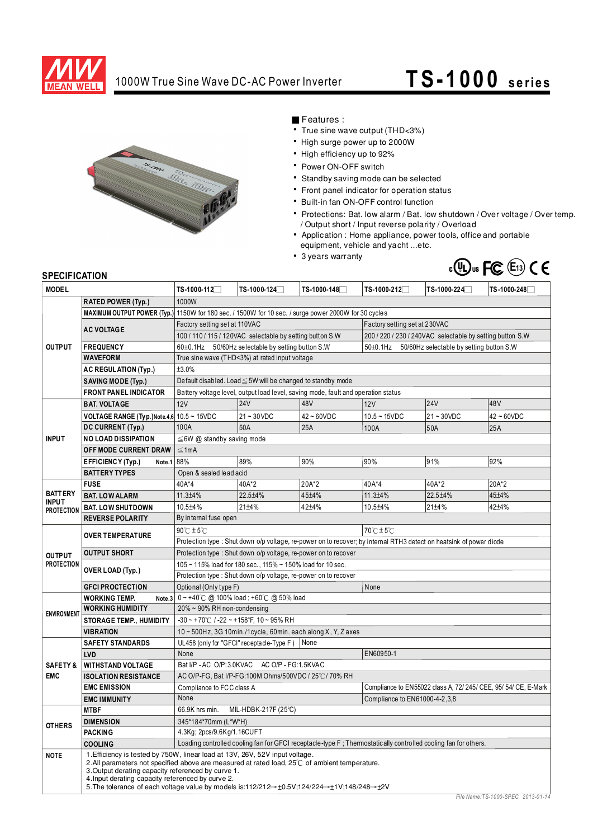

## 1000W True Sine Wave DC-AC Power Inverter **TS -1000 se rie s**



Features:

- True sine wave output (THD<3%)
- High surge power up to 2000W
- High efficiency up to 92%
- Power ON-OFF switch
- Standby saving mode can be selected
- Front panel indicator for operation status
- Built-in fan ON-OFF control function
- Protections: Bat. low alarm / Bat. low shutdown / Over voltage / Over temp. / Output short / Input reverse polarity / Overload
- Application : Home appliance, power tools, office and portable equipment, vehicle and yacht...etc.
- 3 years warranty



## **SPECIFICATION**

| <b>MODEL</b>                                        |                                                                              | TS-1000-112 <sup>7</sup>                                                                                                                                                                                                                                                                              | TS-1000-124 <sup>7</sup>                             | TS-1000-148□ | TS-1000-212 <sup>7</sup>                                  | TS-1000-224                                                     | TS-1000-248     |  |
|-----------------------------------------------------|------------------------------------------------------------------------------|-------------------------------------------------------------------------------------------------------------------------------------------------------------------------------------------------------------------------------------------------------------------------------------------------------|------------------------------------------------------|--------------|-----------------------------------------------------------|-----------------------------------------------------------------|-----------------|--|
|                                                     | <b>RATED POWER (Typ.)</b>                                                    | 1000W                                                                                                                                                                                                                                                                                                 |                                                      |              |                                                           |                                                                 |                 |  |
| <b>OUTPUT</b>                                       |                                                                              | MAXIMUM OUTPUT POWER (Typ.) 1150W for 180 sec. / 1500W for 10 sec. / surge power 2000W for 30 cycles                                                                                                                                                                                                  |                                                      |              |                                                           |                                                                 |                 |  |
|                                                     | <b>AC VOLTAGE</b>                                                            | Factory setting set at 110VAC<br>Factory setting set at 230VAC                                                                                                                                                                                                                                        |                                                      |              |                                                           |                                                                 |                 |  |
|                                                     |                                                                              | 100 / 110 / 115 / 120VAC selectable by setting button S.W<br>200 / 220 / 230 / 240VAC selectable by setting button S.W                                                                                                                                                                                |                                                      |              |                                                           |                                                                 |                 |  |
|                                                     | <b>FREQUENCY</b>                                                             | 60±0.1Hz 50/60Hz selectable by setting button S.W                                                                                                                                                                                                                                                     |                                                      |              | $50\pm0.1$ Hz<br>50/60Hz selectable by setting button S.W |                                                                 |                 |  |
|                                                     | <b>WAVEFORM</b>                                                              | True sine wave (THD<3%) at rated input voltage                                                                                                                                                                                                                                                        |                                                      |              |                                                           |                                                                 |                 |  |
|                                                     | <b>AC REGULATION (Typ.)</b>                                                  | ±3.0%                                                                                                                                                                                                                                                                                                 |                                                      |              |                                                           |                                                                 |                 |  |
|                                                     | <b>SAVING MODE (Typ.)</b>                                                    | Default disabled. Load ≤ 5W will be changed to standby mode                                                                                                                                                                                                                                           |                                                      |              |                                                           |                                                                 |                 |  |
|                                                     | <b>FRONT PANEL INDICATOR</b>                                                 | Battery voltage level, output load level, saving mode, fault and operation status                                                                                                                                                                                                                     |                                                      |              |                                                           |                                                                 |                 |  |
| <b>INPUT</b>                                        | <b>BAT. VOLTAGE</b>                                                          | 12V                                                                                                                                                                                                                                                                                                   | <b>24V</b>                                           | 48V          | 12V                                                       | <b>24V</b>                                                      | 48 <sub>V</sub> |  |
|                                                     | <b>VOLTAGE RANGE (Typ.)Note.4,6 10.5 ~ 15VDC</b>                             |                                                                                                                                                                                                                                                                                                       | $21 - 30$ VDC                                        | $42 - 60VDC$ | $10.5 - 15$ VDC                                           | $21 - 30VDC$                                                    | $42 - 60VDC$    |  |
|                                                     | DC CURRENT (Typ.)                                                            | 100A                                                                                                                                                                                                                                                                                                  | 50A                                                  | 25A          | 100A                                                      | 50A                                                             | 25A             |  |
|                                                     | <b>NO LOAD DISSIPATION</b>                                                   | $\leq$ 6W @ standby saving mode                                                                                                                                                                                                                                                                       |                                                      |              |                                                           |                                                                 |                 |  |
|                                                     | OFF MODE CURRENT DRAW                                                        | $\leq 1$ mA                                                                                                                                                                                                                                                                                           |                                                      |              |                                                           |                                                                 |                 |  |
|                                                     | <b>EFFICIENCY (Typ.)</b><br>Note.1                                           | 88%                                                                                                                                                                                                                                                                                                   | 89%                                                  | 90%          | 90%                                                       | 91%                                                             | 92%             |  |
|                                                     | <b>BATTERY TYPES</b>                                                         | Open & sealed lead acid                                                                                                                                                                                                                                                                               |                                                      |              |                                                           |                                                                 |                 |  |
| <b>BATTERY</b><br><b>INPUT</b><br><b>PROTECTION</b> | <b>FUSE</b>                                                                  | 40A*4                                                                                                                                                                                                                                                                                                 | 40A*2                                                | 20A*2        | 40A*4                                                     | $40A*2$                                                         | 20A*2           |  |
|                                                     | <b>BAT. LOW ALARM</b>                                                        | 11.3±4%                                                                                                                                                                                                                                                                                               | 22.5±4%                                              | 45±4%        | 11.3±4%                                                   | 22.5±4%                                                         | 45±4%           |  |
|                                                     | <b>BAT. LOW SHUTDOWN</b>                                                     | 10.5±4%                                                                                                                                                                                                                                                                                               | $21 + 4%$                                            | 42±4%        | 10.5±4%                                                   | $21 + 4%$                                                       | 42±4%           |  |
|                                                     | <b>REVERSE POLARITY</b>                                                      | By internal fuse open                                                                                                                                                                                                                                                                                 |                                                      |              |                                                           |                                                                 |                 |  |
| <b>OUTPUT</b><br><b>PROTECTION</b>                  | <b>OVER TEMPERATURE</b>                                                      | $90^{\circ}$ C $\pm$ 5 $^{\circ}$ C<br>$70^{\circ}$ C $\pm 5^{\circ}$ C                                                                                                                                                                                                                               |                                                      |              |                                                           |                                                                 |                 |  |
|                                                     |                                                                              | Protection type: Shut down o/p voltage, re-power on to recover; by internal RTH3 detect on heatsink of power diode                                                                                                                                                                                    |                                                      |              |                                                           |                                                                 |                 |  |
|                                                     | <b>OUTPUT SHORT</b>                                                          | Protection type: Shut down o/p voltage, re-power on to recover                                                                                                                                                                                                                                        |                                                      |              |                                                           |                                                                 |                 |  |
|                                                     | OVER LOAD (Typ.)                                                             | 105 ~ 115% load for 180 sec., 115% ~ 150% load for 10 sec.                                                                                                                                                                                                                                            |                                                      |              |                                                           |                                                                 |                 |  |
|                                                     |                                                                              | Protection type: Shut down o/p voltage, re-power on to recover                                                                                                                                                                                                                                        |                                                      |              |                                                           |                                                                 |                 |  |
|                                                     | <b>GFCI PROCTECTION</b>                                                      | Optional (Only type F)                                                                                                                                                                                                                                                                                |                                                      |              | None                                                      |                                                                 |                 |  |
| <b>ENVIRONMENT</b>                                  | <b>WORKING TEMP.</b>                                                         | Note.3 $0 \sim +40^{\circ}$ C @ 100% load; +60 $\circ$ C @ 50% load                                                                                                                                                                                                                                   |                                                      |              |                                                           |                                                                 |                 |  |
|                                                     | <b>WORKING HUMIDITY</b>                                                      | 20% ~ 90% RH non-condensing                                                                                                                                                                                                                                                                           |                                                      |              |                                                           |                                                                 |                 |  |
|                                                     | <b>STORAGE TEMP., HUMIDITY</b>                                               | $-30$ ~ +70°C / -22 ~ +158°F, 10 ~ 95% RH                                                                                                                                                                                                                                                             |                                                      |              |                                                           |                                                                 |                 |  |
|                                                     | <b>VIBRATION</b>                                                             | $10 \sim 500$ Hz, 3G 10min./1 cycle, 60min. each along X, Y, Z axes                                                                                                                                                                                                                                   |                                                      |              |                                                           |                                                                 |                 |  |
| SAFETY&<br><b>EMC</b>                               | <b>SAFETY STANDARDS</b>                                                      | UL458 (only for "GFCI" receptacle-Type F)<br>None                                                                                                                                                                                                                                                     |                                                      |              |                                                           |                                                                 |                 |  |
|                                                     | LVD                                                                          | None                                                                                                                                                                                                                                                                                                  |                                                      |              | EN60950-1                                                 |                                                                 |                 |  |
|                                                     | <b>WITHSTAND VOLTAGE</b><br><b>ISOLATION RESISTANCE</b>                      | Bat I/P - AC O/P:3.0KVAC<br>AC O/P - FG:1.5KVAC                                                                                                                                                                                                                                                       |                                                      |              |                                                           |                                                                 |                 |  |
|                                                     | <b>EMC EMISSION</b>                                                          |                                                                                                                                                                                                                                                                                                       | AC O/P-FG, Bat I/P-FG:100M Ohms/500VDC / 25°C/70% RH |              |                                                           | Compliance to EN55022 class A, 72/ 245/ CEE, 95/ 54/ CE, E-Mark |                 |  |
|                                                     |                                                                              | Compliance to FCC class A<br>None                                                                                                                                                                                                                                                                     |                                                      |              | Compliance to EN61000-4-2, 3, 8                           |                                                                 |                 |  |
| <b>OTHERS</b>                                       | <b>EMC IMMUNITY</b><br><b>MTBF</b>                                           | MIL-HDBK-217F (25°C)<br>66.9K hrs min.                                                                                                                                                                                                                                                                |                                                      |              |                                                           |                                                                 |                 |  |
|                                                     | <b>DIMENSION</b>                                                             | 345*184*70mm (L*W*H)                                                                                                                                                                                                                                                                                  |                                                      |              |                                                           |                                                                 |                 |  |
|                                                     | <b>PACKING</b>                                                               | 4.3Kg; 2pcs/9.6Kg/1.16CUFT                                                                                                                                                                                                                                                                            |                                                      |              |                                                           |                                                                 |                 |  |
|                                                     | <b>COOLING</b>                                                               | Loading controlled cooling fan for GFCI receptacle-type F; Thermostatically controlled cooling fan for others.                                                                                                                                                                                        |                                                      |              |                                                           |                                                                 |                 |  |
| <b>NOTE</b>                                         | 1. Efficiency is tested by 750W, linear load at 13V, 26V, 52V input voltage. |                                                                                                                                                                                                                                                                                                       |                                                      |              |                                                           |                                                                 |                 |  |
|                                                     |                                                                              | 2.All parameters not specified above are measured at rated load, 25°C of ambient temperature.<br>3. Output derating capacity referenced by curve 1.<br>4. Input derating capacity referenced by curve 2.<br>5. The tolerance of each voltage value by models is:112/212→±0.5V;124/224→±1V;148/248→±2V |                                                      |              |                                                           |                                                                 |                 |  |